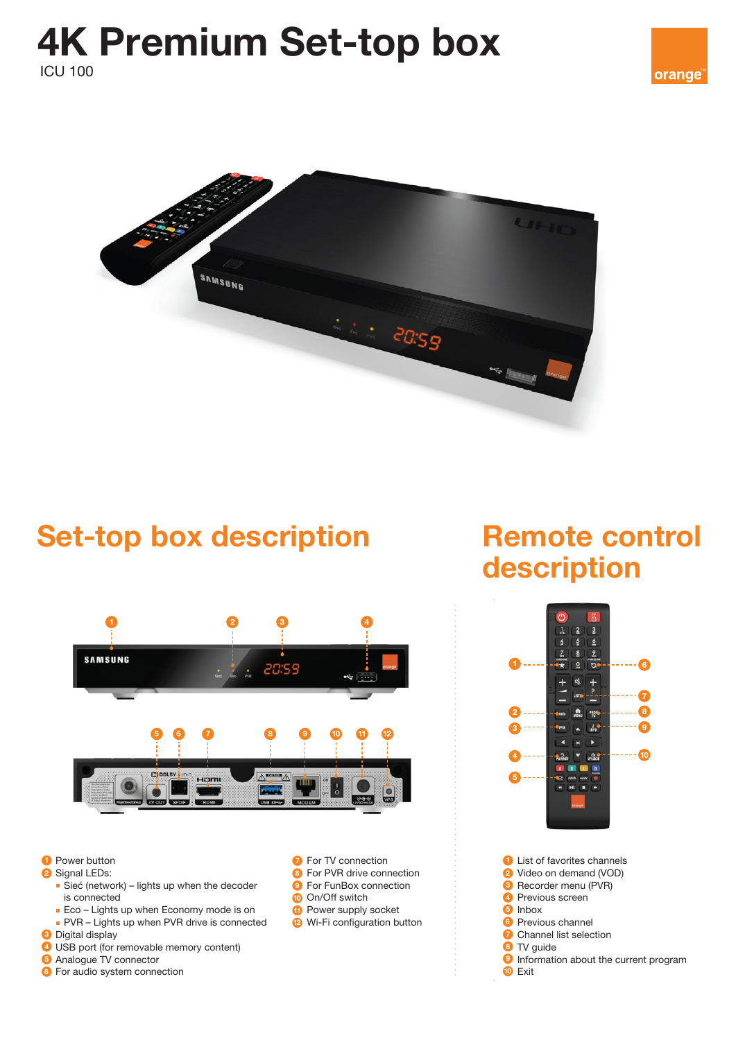### 4K Premium Set-top box ICU 100



## Set-top box description Remote control



- **Power button**
- 2 Signal LEDs:
	- Sieć (network) lights up when the decoder is connected
	- **Eco Lights up when Economy mode is on**
	- PVR Lights up when PVR drive is connected
- **3** Digital display
- 4) USB port (for removable memory content)
- **5** Analogue TV connector
- **6** For audio system connection
- **P** For TV connection
- **B** For PVR drive connection
	- **9** For FunBox connection
- **10** On/Off switch
- **11** Power supply socket
- **2** Wi-Fi configuration button

# description



**B** Recorder menu (PVR) 4 Previous screen 5 Inbox **6** Previous channel **7** Channel list selection 8 TV guide **9** Information about the current program **10** Exit